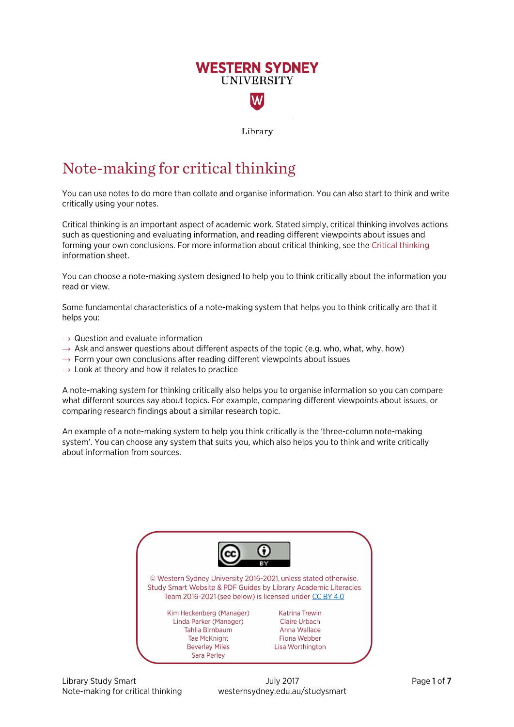# **WESTERN SYDNEY UNIVERSITY**

Library

# Note-making for critical thinking

You can use notes to do more than collate and organise information. You can also start to think and write critically using your notes.

Critical thinking is an important aspect of academic work. Stated simply, critical thinking involves actions such as questioning and evaluating information, and reading different viewpoints about issues and forming your own conclusions. For more information about critical thinking, see th[e Critical thinking](https://westernsydney.edu.au/__data/assets/pdf_file/0006/1082382/Critical_Thinking.pdf) information sheet.

You can choose a note-making system designed to help you to think critically about the information you read or view.

Some fundamental characteristics of a note-making system that helps you to think critically are that it helps you:

- $\rightarrow$  Question and evaluate information
- $\rightarrow$  Ask and answer questions about different aspects of the topic (e.g. who, what, why, how)
- $\rightarrow$  Form your own conclusions after reading different viewpoints about issues
- $\rightarrow$  Look at theory and how it relates to practice

A note-making system for thinking critically also helps you to organise information so you can compare what different sources say about topics. For example, comparing different viewpoints about issues, or comparing research findings about a similar research topic.

An example of a note-making system to help you think critically is the 'three-column note-making system'. You can choose any system that suits you, which also helps you to think and write critically about information from sources.



Library Study Smart **Community 2017** Library Study 2017 **Page 1 of 7** Note-making for critical thinking westernsydney.edu.au/studysmart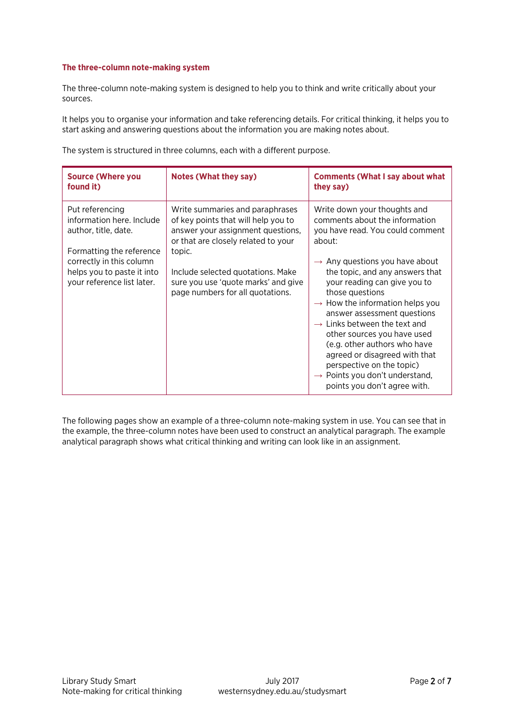#### **The three-column note-making system**

The three-column note-making system is designed to help you to think and write critically about your sources.

It helps you to organise your information and take referencing details. For critical thinking, it helps you to start asking and answering questions about the information you are making notes about.

The system is structured in three columns, each with a different purpose.

| <b>Source (Where you</b><br>found it)                                                                                                                                                    | <b>Notes (What they say)</b>                                                                                                                                                                                                                                                 | <b>Comments (What I say about what</b><br>they say)                                                                                                                                                                                                                                                                                                                                                                                                                                                                                                                                   |
|------------------------------------------------------------------------------------------------------------------------------------------------------------------------------------------|------------------------------------------------------------------------------------------------------------------------------------------------------------------------------------------------------------------------------------------------------------------------------|---------------------------------------------------------------------------------------------------------------------------------------------------------------------------------------------------------------------------------------------------------------------------------------------------------------------------------------------------------------------------------------------------------------------------------------------------------------------------------------------------------------------------------------------------------------------------------------|
| Put referencing<br>information here. Include<br>author, title, date.<br>Formatting the reference<br>correctly in this column<br>helps you to paste it into<br>your reference list later. | Write summaries and paraphrases<br>of key points that will help you to<br>answer your assignment questions,<br>or that are closely related to your<br>topic.<br>Include selected quotations. Make<br>sure you use 'quote marks' and give<br>page numbers for all quotations. | Write down your thoughts and<br>comments about the information<br>you have read. You could comment<br>about:<br>$\rightarrow$ Any questions you have about<br>the topic, and any answers that<br>your reading can give you to<br>those questions<br>$\rightarrow$ How the information helps you<br>answer assessment questions<br>$\rightarrow$ Links between the text and<br>other sources you have used<br>(e.g. other authors who have<br>agreed or disagreed with that<br>perspective on the topic)<br>$\rightarrow$ Points you don't understand,<br>points you don't agree with. |

The following pages show an example of a three-column note-making system in use. You can see that in the example, the three-column notes have been used to construct an analytical paragraph. The example analytical paragraph shows what critical thinking and writing can look like in an assignment.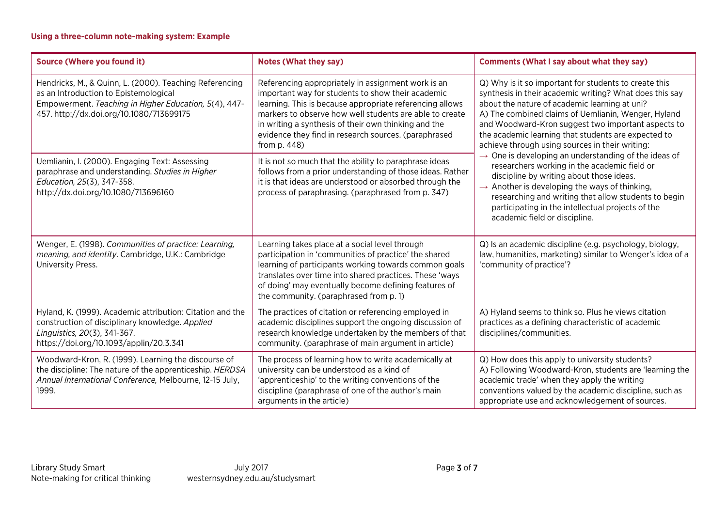# **Using a three-column note-making system: Example**

| <b>Source (Where you found it)</b>                                                                                                                                                                    | <b>Notes (What they say)</b>                                                                                                                                                                                                                                                                                                                                   | <b>Comments (What I say about what they say)</b>                                                                                                                                                                                                                                                                                                                                         |
|-------------------------------------------------------------------------------------------------------------------------------------------------------------------------------------------------------|----------------------------------------------------------------------------------------------------------------------------------------------------------------------------------------------------------------------------------------------------------------------------------------------------------------------------------------------------------------|------------------------------------------------------------------------------------------------------------------------------------------------------------------------------------------------------------------------------------------------------------------------------------------------------------------------------------------------------------------------------------------|
| Hendricks, M., & Quinn, L. (2000). Teaching Referencing<br>as an Introduction to Epistemological<br>Empowerment. Teaching in Higher Education, 5(4), 447-<br>457. http://dx.doi.org/10.1080/713699175 | Referencing appropriately in assignment work is an<br>important way for students to show their academic<br>learning. This is because appropriate referencing allows<br>markers to observe how well students are able to create<br>in writing a synthesis of their own thinking and the<br>evidence they find in research sources. (paraphrased<br>from p. 448) | Q) Why is it so important for students to create this<br>synthesis in their academic writing? What does this say<br>about the nature of academic learning at uni?<br>A) The combined claims of Uemlianin, Wenger, Hyland<br>and Woodward-Kron suggest two important aspects to<br>the academic learning that students are expected to<br>achieve through using sources in their writing: |
| Uemlianin, I. (2000). Engaging Text: Assessing<br>paraphrase and understanding. Studies in Higher<br>Education, 25(3), 347-358.<br>http://dx.doi.org/10.1080/713696160                                | It is not so much that the ability to paraphrase ideas<br>follows from a prior understanding of those ideas. Rather<br>it is that ideas are understood or absorbed through the<br>process of paraphrasing. (paraphrased from p. 347)                                                                                                                           | One is developing an understanding of the ideas of<br>$\rightarrow$<br>researchers working in the academic field or<br>discipline by writing about those ideas.<br>$\rightarrow$ Another is developing the ways of thinking,<br>researching and writing that allow students to begin<br>participating in the intellectual projects of the<br>academic field or discipline.               |
| Wenger, E. (1998). Communities of practice: Learning,<br>meaning, and identity. Cambridge, U.K.: Cambridge<br>University Press.                                                                       | Learning takes place at a social level through<br>participation in 'communities of practice' the shared<br>learning of participants working towards common goals<br>translates over time into shared practices. These 'ways<br>of doing' may eventually become defining features of<br>the community. (paraphrased from p. 1)                                  | Q) Is an academic discipline (e.g. psychology, biology,<br>law, humanities, marketing) similar to Wenger's idea of a<br>'community of practice'?                                                                                                                                                                                                                                         |
| Hyland, K. (1999). Academic attribution: Citation and the<br>construction of disciplinary knowledge. Applied<br>Linguistics, 20(3), 341-367.<br>https://doi.org/10.1093/applin/20.3.341               | The practices of citation or referencing employed in<br>academic disciplines support the ongoing discussion of<br>research knowledge undertaken by the members of that<br>community. (paraphrase of main argument in article)                                                                                                                                  | A) Hyland seems to think so. Plus he views citation<br>practices as a defining characteristic of academic<br>disciplines/communities.                                                                                                                                                                                                                                                    |
| Woodward-Kron, R. (1999). Learning the discourse of<br>the discipline: The nature of the apprenticeship. HERDSA<br>Annual International Conference, Melbourne, 12-15 July,<br>1999.                   | The process of learning how to write academically at<br>university can be understood as a kind of<br>'apprenticeship' to the writing conventions of the<br>discipline (paraphrase of one of the author's main<br>arguments in the article)                                                                                                                     | Q) How does this apply to university students?<br>A) Following Woodward-Kron, students are 'learning the<br>academic trade' when they apply the writing<br>conventions valued by the academic discipline, such as<br>appropriate use and acknowledgement of sources.                                                                                                                     |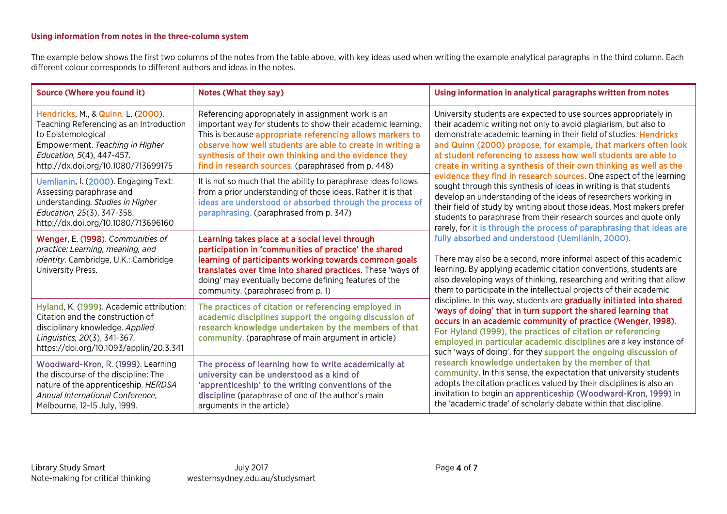# **Using information from notes in the three-column system**

The example below shows the first two columns of the notes from the table above, with key ideas used when writing the example analytical paragraphs in the third column. Each different colour corresponds to different authors and ideas in the notes.

| <b>Source (Where you found it)</b>                                                                                                                                                                         | <b>Notes (What they say)</b>                                                                                                                                                                                                                                                                                                                                | Using information in analytical paragraphs written from notes                                                                                                                                                                                                                                                                                                                                                                                                                                                                                                                                                                                                                                                                                            |
|------------------------------------------------------------------------------------------------------------------------------------------------------------------------------------------------------------|-------------------------------------------------------------------------------------------------------------------------------------------------------------------------------------------------------------------------------------------------------------------------------------------------------------------------------------------------------------|----------------------------------------------------------------------------------------------------------------------------------------------------------------------------------------------------------------------------------------------------------------------------------------------------------------------------------------------------------------------------------------------------------------------------------------------------------------------------------------------------------------------------------------------------------------------------------------------------------------------------------------------------------------------------------------------------------------------------------------------------------|
| Hendricks, M., & Quinn, L. (2000).<br>Teaching Referencing as an Introduction<br>to Epistemological<br>Empowerment. Teaching in Higher<br>Education, 5(4), 447-457.<br>http://dx.doi.org/10.1080/713699175 | Referencing appropriately in assignment work is an<br>important way for students to show their academic learning.<br>This is because appropriate referencing allows markers to<br>observe how well students are able to create in writing a<br>synthesis of their own thinking and the evidence they<br>find in research sources. (paraphrased from p. 448) | University students are expected to use sources appropriately in<br>their academic writing not only to avoid plagiarism, but also to<br>demonstrate academic learning in their field of studies. Hendricks<br>and Quinn (2000) propose, for example, that markers often look<br>at student referencing to assess how well students are able to<br>create in writing a synthesis of their own thinking as well as the                                                                                                                                                                                                                                                                                                                                     |
| Uemlianin, I. (2000). Engaging Text:<br>Assessing paraphrase and<br>understanding. Studies in Higher<br>Education, 25(3), 347-358.<br>http://dx.doi.org/10.1080/713696160                                  | It is not so much that the ability to paraphrase ideas follows<br>from a prior understanding of those ideas. Rather it is that<br>ideas are understood or absorbed through the process of<br>paraphrasing. (paraphrased from p. 347)                                                                                                                        | evidence they find in research sources. One aspect of the learning<br>sought through this synthesis of ideas in writing is that students<br>develop an understanding of the ideas of researchers working in<br>their field of study by writing about those ideas. Most makers prefer<br>students to paraphrase from their research sources and quote only<br>rarely, for it is through the process of paraphrasing that ideas are                                                                                                                                                                                                                                                                                                                        |
| Wenger, E. (1998). Communities of<br>practice: Learning, meaning, and<br>identity. Cambridge, U.K.: Cambridge<br>University Press.                                                                         | Learning takes place at a social level through<br>participation in 'communities of practice' the shared<br>learning of participants working towards common goals<br>translates over time into shared practices. These 'ways of<br>doing' may eventually become defining features of the<br>community. (paraphrased from p. 1)                               | fully absorbed and understood (Uemlianin, 2000).<br>There may also be a second, more informal aspect of this academic<br>learning. By applying academic citation conventions, students are<br>also developing ways of thinking, researching and writing that allow<br>them to participate in the intellectual projects of their academic                                                                                                                                                                                                                                                                                                                                                                                                                 |
| Hyland, K. (1999). Academic attribution:<br>Citation and the construction of<br>disciplinary knowledge. Applied<br>Linguistics, 20(3), 341-367.<br>https://doi.org/10.1093/applin/20.3.341                 | The practices of citation or referencing employed in<br>academic disciplines support the ongoing discussion of<br>research knowledge undertaken by the members of that<br>community. (paraphrase of main argument in article)                                                                                                                               | discipline. In this way, students are gradually initiated into shared<br>'ways of doing' that in turn support the shared learning that<br>occurs in an academic community of practice (Wenger, 1998).<br>For Hyland (1999), the practices of citation or referencing<br>employed in particular academic disciplines are a key instance of<br>such 'ways of doing', for they support the ongoing discussion of<br>research knowledge undertaken by the member of that<br>community. In this sense, the expectation that university students<br>adopts the citation practices valued by their disciplines is also an<br>invitation to begin an apprenticeship (Woodward-Kron, 1999) in<br>the 'academic trade' of scholarly debate within that discipline. |
| Woodward-Kron, R. (1999). Learning<br>the discourse of the discipline: The<br>nature of the apprenticeship. HERDSA<br>Annual International Conference,<br>Melbourne, 12-15 July, 1999.                     | The process of learning how to write academically at<br>university can be understood as a kind of<br>'apprenticeship' to the writing conventions of the<br>discipline (paraphrase of one of the author's main<br>arguments in the article)                                                                                                                  |                                                                                                                                                                                                                                                                                                                                                                                                                                                                                                                                                                                                                                                                                                                                                          |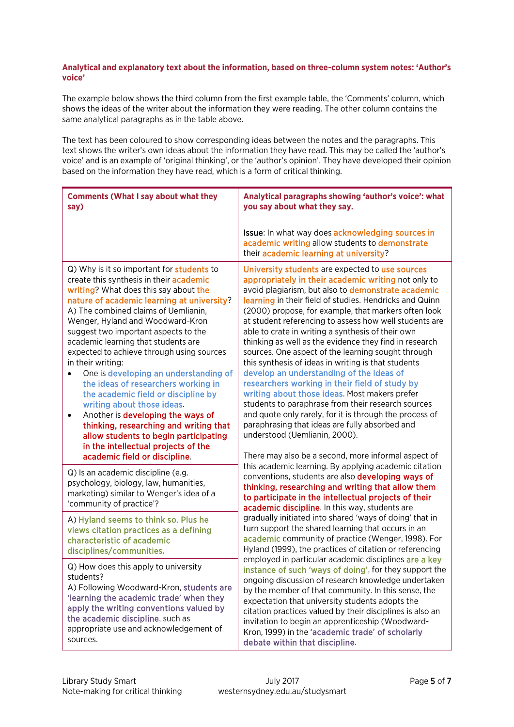#### **Analytical and explanatory text about the information, based on three-column system notes: 'Author's voice'**

The example below shows the third column from the first example table, the 'Comments' column, which shows the ideas of the writer about the information they were reading. The other column contains the same analytical paragraphs as in the table above.

The text has been coloured to show corresponding ideas between the notes and the paragraphs. This text shows the writer's own ideas about the information they have read. This may be called the 'author's voice' and is an example of 'original thinking', or the 'author's opinion'. They have developed their opinion based on the information they have read, which is a form of critical thinking.

| <b>Comments (What I say about what they</b><br>say)                                                                                                                                                                                                                                                                                                                                                                                                                                                                                                                                                                                                                                                                                                                                           | Analytical paragraphs showing 'author's voice': what<br>you say about what they say.                                                                                                                                                                                                                                                                                                                                                                                                                                                                                                                                                                                                                                                                                                                                                                                                                                                                                            |  |
|-----------------------------------------------------------------------------------------------------------------------------------------------------------------------------------------------------------------------------------------------------------------------------------------------------------------------------------------------------------------------------------------------------------------------------------------------------------------------------------------------------------------------------------------------------------------------------------------------------------------------------------------------------------------------------------------------------------------------------------------------------------------------------------------------|---------------------------------------------------------------------------------------------------------------------------------------------------------------------------------------------------------------------------------------------------------------------------------------------------------------------------------------------------------------------------------------------------------------------------------------------------------------------------------------------------------------------------------------------------------------------------------------------------------------------------------------------------------------------------------------------------------------------------------------------------------------------------------------------------------------------------------------------------------------------------------------------------------------------------------------------------------------------------------|--|
|                                                                                                                                                                                                                                                                                                                                                                                                                                                                                                                                                                                                                                                                                                                                                                                               | Issue: In what way does acknowledging sources in<br>academic writing allow students to demonstrate<br>their academic learning at university?                                                                                                                                                                                                                                                                                                                                                                                                                                                                                                                                                                                                                                                                                                                                                                                                                                    |  |
| Q) Why is it so important for <b>students</b> to<br>create this synthesis in their <b>academic</b><br>writing? What does this say about the<br>nature of academic learning at university?<br>A) The combined claims of Uemlianin,<br>Wenger, Hyland and Woodward-Kron<br>suggest two important aspects to the<br>academic learning that students are<br>expected to achieve through using sources<br>in their writing:<br>One is developing an understanding of<br>$\bullet$<br>the ideas of researchers working in<br>the academic field or discipline by<br>writing about those ideas.<br>Another is developing the ways of<br>٠<br>thinking, researching and writing that<br>allow students to begin participating<br>in the intellectual projects of the<br>academic field or discipline. | University students are expected to use sources<br>appropriately in their academic writing not only to<br>avoid plagiarism, but also to demonstrate academic<br>learning in their field of studies. Hendricks and Quinn<br>(2000) propose, for example, that markers often look<br>at student referencing to assess how well students are<br>able to crate in writing a synthesis of their own<br>thinking as well as the evidence they find in research<br>sources. One aspect of the learning sought through<br>this synthesis of ideas in writing is that students<br>develop an understanding of the ideas of<br>researchers working in their field of study by<br>writing about those ideas. Most makers prefer<br>students to paraphrase from their research sources<br>and quote only rarely, for it is through the process of<br>paraphrasing that ideas are fully absorbed and<br>understood (Uemlianin, 2000).<br>There may also be a second, more informal aspect of |  |
| Q) Is an academic discipline (e.g.<br>psychology, biology, law, humanities,<br>marketing) similar to Wenger's idea of a<br>'community of practice'?                                                                                                                                                                                                                                                                                                                                                                                                                                                                                                                                                                                                                                           | this academic learning. By applying academic citation<br>conventions, students are also developing ways of<br>thinking, researching and writing that allow them<br>to participate in the intellectual projects of their<br>academic discipline. In this way, students are                                                                                                                                                                                                                                                                                                                                                                                                                                                                                                                                                                                                                                                                                                       |  |
| A) Hyland seems to think so. Plus he<br>views citation practices as a defining<br>characteristic of academic<br>disciplines/communities.                                                                                                                                                                                                                                                                                                                                                                                                                                                                                                                                                                                                                                                      | gradually initiated into shared 'ways of doing' that in<br>turn support the shared learning that occurs in an<br>academic community of practice (Wenger, 1998). For<br>Hyland (1999), the practices of citation or referencing<br>employed in particular academic disciplines are a key<br>instance of such 'ways of doing', for they support the<br>ongoing discussion of research knowledge undertaken<br>by the member of that community. In this sense, the<br>expectation that university students adopts the<br>citation practices valued by their disciplines is also an<br>invitation to begin an apprenticeship (Woodward-<br>Kron, 1999) in the 'academic trade' of scholarly<br>debate within that discipline.                                                                                                                                                                                                                                                       |  |
| Q) How does this apply to university<br>students?<br>A) Following Woodward-Kron, students are<br>'learning the academic trade' when they<br>apply the writing conventions valued by<br>the academic discipline, such as<br>appropriate use and acknowledgement of<br>sources.                                                                                                                                                                                                                                                                                                                                                                                                                                                                                                                 |                                                                                                                                                                                                                                                                                                                                                                                                                                                                                                                                                                                                                                                                                                                                                                                                                                                                                                                                                                                 |  |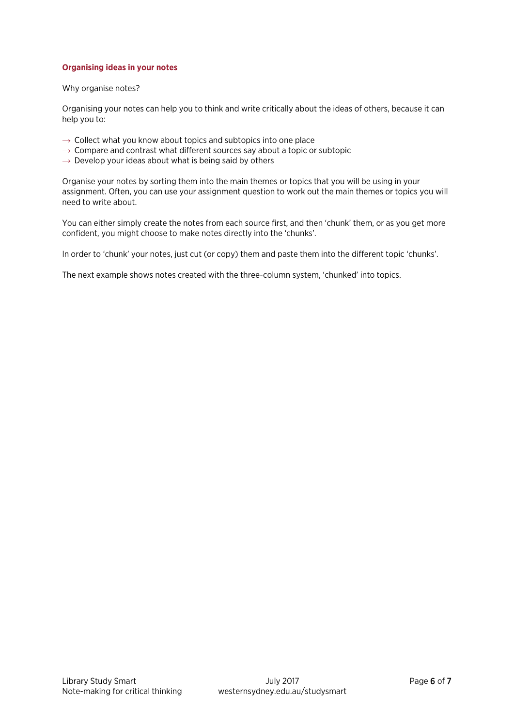#### **Organising ideas in your notes**

#### Why organise notes?

Organising your notes can help you to think and write critically about the ideas of others, because it can help you to:

- $\rightarrow$  Collect what you know about topics and subtopics into one place
- $\rightarrow$  Compare and contrast what different sources say about a topic or subtopic
- $\rightarrow$  Develop your ideas about what is being said by others

Organise your notes by sorting them into the main themes or topics that you will be using in your assignment. Often, you can use your assignment question to work out the main themes or topics you will need to write about.

You can either simply create the notes from each source first, and then 'chunk' them, or as you get more confident, you might choose to make notes directly into the 'chunks'.

In order to 'chunk' your notes, just cut (or copy) them and paste them into the different topic 'chunks'.

The next example shows notes created with the three-column system, 'chunked' into topics.